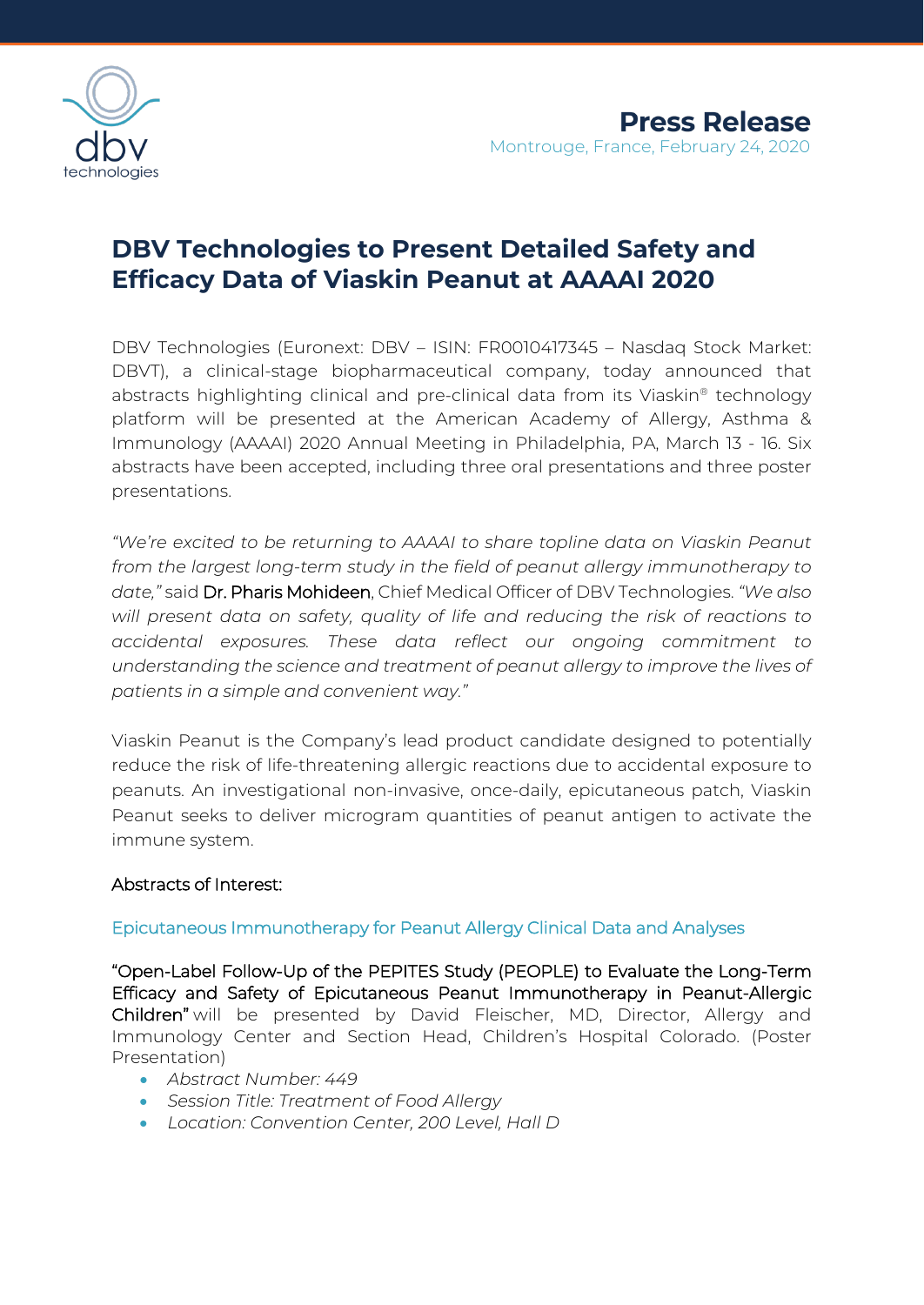

# **DBV Technologies to Present Detailed Safety and Efficacy Data of Viaskin Peanut at AAAAI 2020**

DBV Technologies (Euronext: DBV – ISIN: FR0010417345 – Nasdaq Stock Market: DBVT), a clinical-stage biopharmaceutical company, today announced that abstracts highlighting clinical and pre-clinical data from its Viaskin® technology platform will be presented at the American Academy of Allergy, Asthma & Immunology (AAAAI) 2020 Annual Meeting in Philadelphia, PA, March 13 - 16. Six abstracts have been accepted, including three oral presentations and three poster presentations.

*"We're excited to be returning to AAAAI to share topline data on Viaskin Peanut from the largest long-term study in the field of peanut allergy immunotherapy to date,"* said Dr. Pharis Mohideen, Chief Medical Officer of DBV Technologies. *"We also will present data on safety, quality of life and reducing the risk of reactions to accidental exposures. These data reflect our ongoing commitment to understanding the science and treatment of peanut allergy to improve the lives of patients in a simple and convenient way."*

Viaskin Peanut is the Company's lead product candidate designed to potentially reduce the risk of life-threatening allergic reactions due to accidental exposure to peanuts. An investigational non-invasive, once-daily, epicutaneous patch, Viaskin Peanut seeks to deliver microgram quantities of peanut antigen to activate the immune system.

# Abstracts of Interest:

## Epicutaneous Immunotherapy for Peanut Allergy Clinical Data and Analyses

"Open-Label Follow-Up of the PEPITES Study (PEOPLE) to Evaluate the Long-Term Efficacy and Safety of Epicutaneous Peanut Immunotherapy in Peanut-Allergic Children" will be presented by David Fleischer, MD, Director, Allergy and Immunology Center and Section Head, Children's Hospital Colorado. (Poster Presentation)

- *Abstract Number: 449*
- *Session Title: Treatment of Food Allergy*
- *Location: Convention Center, 200 Level, Hall D*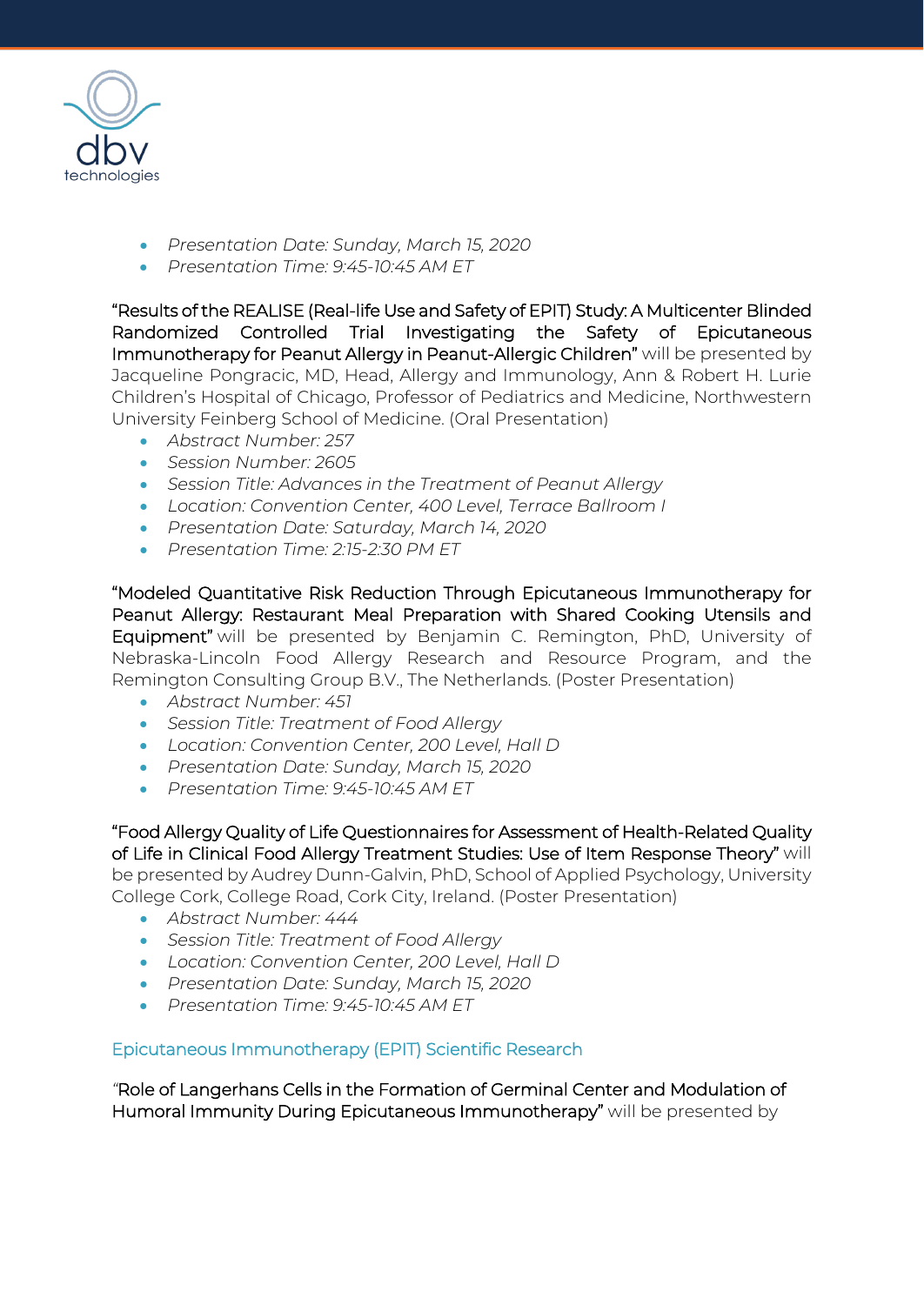

- *Presentation Date: Sunday, March 15, 2020*
- *Presentation Time: 9:45-10:45 AM ET*

"Results of the REALISE (Real-life Use and Safety of EPIT) Study: A Multicenter Blinded Randomized Controlled Trial Investigating the Safety of Epicutaneous Immunotherapy for Peanut Allergy in Peanut-Allergic Children" will be presented by Jacqueline Pongracic, MD, Head, Allergy and Immunology, Ann & Robert H. Lurie Children's Hospital of Chicago, Professor of Pediatrics and Medicine, Northwestern University Feinberg School of Medicine. (Oral Presentation)

- *Abstract Number: 257*
- *Session Number: 2605*
- *Session Title: Advances in the Treatment of Peanut Allergy*
- *Location: Convention Center, 400 Level, Terrace Ballroom I*
- *Presentation Date: Saturday, March 14, 2020*
- *Presentation Time: 2:15-2:30 PM ET*

"Modeled Quantitative Risk Reduction Through Epicutaneous Immunotherapy for Peanut Allergy: Restaurant Meal Preparation with Shared Cooking Utensils and Equipment" will be presented by Benjamin C. Remington, PhD, University of Nebraska-Lincoln Food Allergy Research and Resource Program, and the Remington Consulting Group B.V., The Netherlands. (Poster Presentation)

- *Abstract Number: 451*
- *Session Title: Treatment of Food Allergy*
- *Location: Convention Center, 200 Level, Hall D*
- *Presentation Date: Sunday, March 15, 2020*
- *Presentation Time: 9:45-10:45 AM ET*

"Food Allergy Quality of Life Questionnaires for Assessment of Health-Related Quality of Life in Clinical Food Allergy Treatment Studies: Use of Item Response Theory" will be presented by Audrey Dunn-Galvin, PhD, School of Applied Psychology, University College Cork, College Road, Cork City, Ireland. (Poster Presentation)

- *Abstract Number: 444*
- *Session Title: Treatment of Food Allergy*
- *Location: Convention Center, 200 Level, Hall D*
- *Presentation Date: Sunday, March 15, 2020*
- *Presentation Time: 9:45-10:45 AM ET*

## Epicutaneous Immunotherapy (EPIT) Scientific Research

*"*Role of Langerhans Cells in the Formation of Germinal Center and Modulation of Humoral Immunity During Epicutaneous Immunotherapy" will be presented by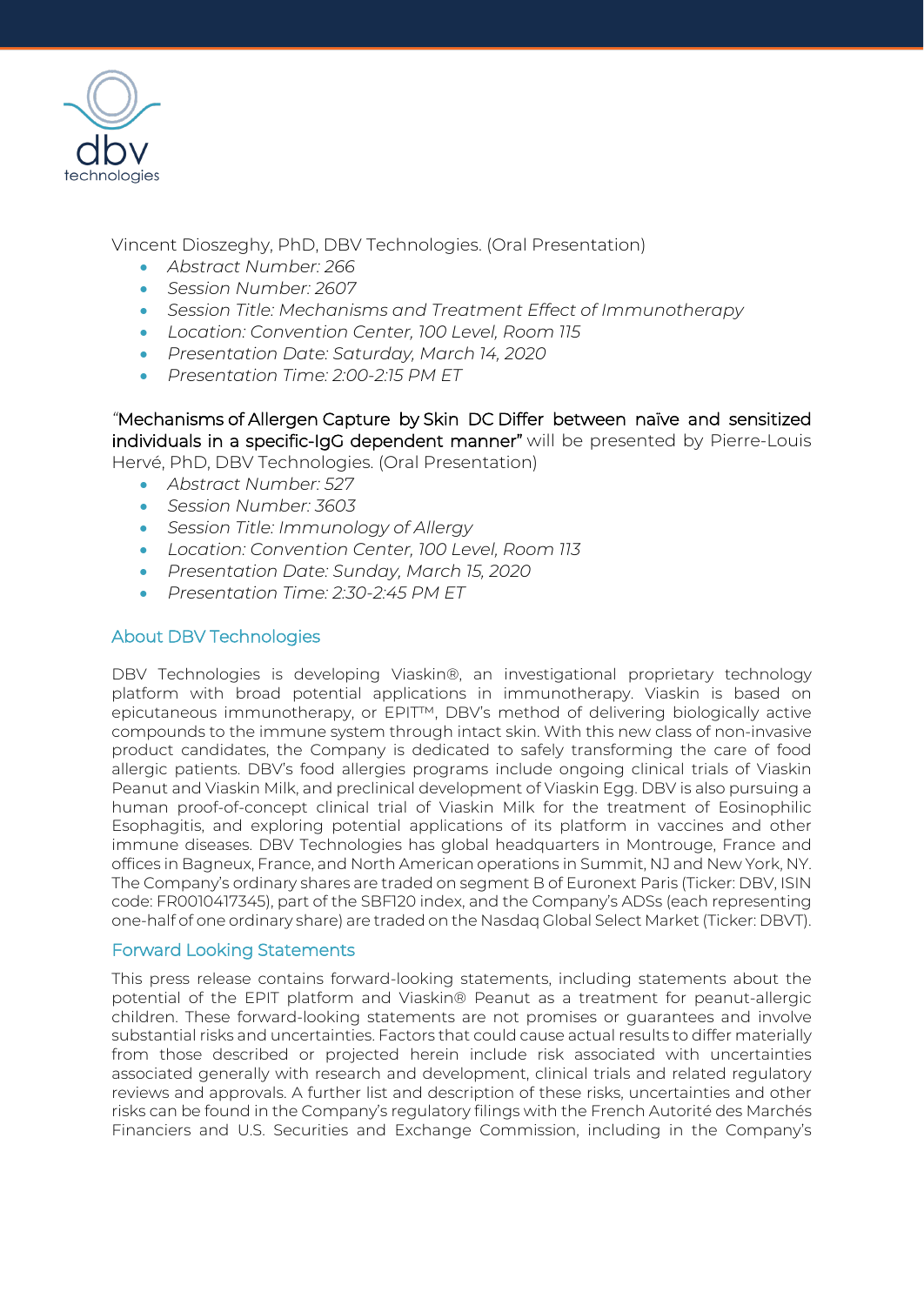

Vincent Dioszeghy, PhD, DBV Technologies. (Oral Presentation)

- *Abstract Number: 266*
- *Session Number: 2607*
- *Session Title: Mechanisms and Treatment Effect of Immunotherapy*
- *Location: Convention Center, 100 Level, Room 115*
- *Presentation Date: Saturday, March 14, 2020*
- *Presentation Time: 2:00-2:15 PM ET*

*"*Mechanisms of Allergen Capture by Skin DC Differ between naïve and sensitized individuals in a specific-IgG dependent manner" will be presented by Pierre-Louis Hervé, PhD, DBV Technologies. (Oral Presentation)

• *Abstract Number: 527*

- *Session Number: 3603*
- *Session Title: Immunology of Allergy*
- *Location: Convention Center, 100 Level, Room 113*
- *Presentation Date: Sunday, March 15, 2020*
- *Presentation Time: 2:30-2:45 PM ET*

#### About DBV Technologies

DBV Technologies is developing Viaskin®, an investigational proprietary technology platform with broad potential applications in immunotherapy. Viaskin is based on epicutaneous immunotherapy, or EPIT™, DBV's method of delivering biologically active compounds to the immune system through intact skin. With this new class of non-invasive product candidates, the Company is dedicated to safely transforming the care of food allergic patients. DBV's food allergies programs include ongoing clinical trials of Viaskin Peanut and Viaskin Milk, and preclinical development of Viaskin Egg. DBV is also pursuing a human proof-of-concept clinical trial of Viaskin Milk for the treatment of Eosinophilic Esophagitis, and exploring potential applications of its platform in vaccines and other immune diseases. DBV Technologies has global headquarters in Montrouge, France and offices in Bagneux, France, and North American operations in Summit, NJ and New York, NY. The Company's ordinary shares are traded on segment B of Euronext Paris (Ticker: DBV, ISIN code: FR0010417345), part of the SBF120 index, and the Company's ADSs (each representing one-half of one ordinary share) are traded on the Nasdaq Global Select Market (Ticker: DBVT).

#### Forward Looking Statements

This press release contains forward-looking statements, including statements about the potential of the EPIT platform and Viaskin® Peanut as a treatment for peanut-allergic children. These forward-looking statements are not promises or guarantees and involve substantial risks and uncertainties. Factors that could cause actual results to differ materially from those described or projected herein include risk associated with uncertainties associated generally with research and development, clinical trials and related regulatory reviews and approvals. A further list and description of these risks, uncertainties and other risks can be found in the Company's regulatory filings with the French Autorité des Marchés Financiers and U.S. Securities and Exchange Commission, including in the Company's